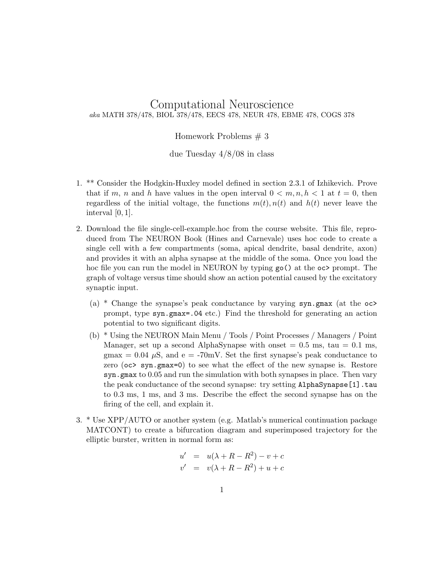## Computational Neuroscience aka MATH 378/478, BIOL 378/478, EECS 478, NEUR 478, EBME 478, COGS 378

## Homework Problems # 3

due Tuesday 4/8/08 in class

- 1. \*\* Consider the Hodgkin-Huxley model defined in section 2.3.1 of Izhikevich. Prove that if m, n and h have values in the open interval  $0 < m, n, h < 1$  at  $t = 0$ , then regardless of the initial voltage, the functions  $m(t)$ ,  $n(t)$  and  $h(t)$  never leave the interval [0, 1].
- 2. Download the file single-cell-example.hoc from the course website. This file, reproduced from The NEURON Book (Hines and Carnevale) uses hoc code to create a single cell with a few compartments (soma, apical dendrite, basal dendrite, axon) and provides it with an alpha synapse at the middle of the soma. Once you load the hoc file you can run the model in NEURON by typing  $\mathsf{go}(\cdot)$  at the  $\circ\circ\circ$  prompt. The graph of voltage versus time should show an action potential caused by the excitatory synaptic input.
	- (a) \* Change the synapse's peak conductance by varying  $syn.gmar$  (at the  $oc$ ) prompt, type syn.gmax=.04 etc.) Find the threshold for generating an action potential to two significant digits.
	- (b) \* Using the NEURON Main Menu / Tools / Point Processes / Managers / Point Manager, set up a second AlphaSynapse with onset  $= 0.5$  ms, tau  $= 0.1$  ms, gmax =  $0.04 \mu$ S, and e = -70mV. Set the first synapse's peak conductance to zero (oc> syn.gmax=0) to see what the effect of the new synapse is. Restore syn.gmax to 0.05 and run the simulation with both synapses in place. Then vary the peak conductance of the second synapse: try setting AlphaSynapse[1].tau to 0.3 ms, 1 ms, and 3 ms. Describe the effect the second synapse has on the firing of the cell, and explain it.
- 3. \* Use XPP/AUTO or another system (e.g. Matlab's numerical continuation package MATCONT) to create a bifurcation diagram and superimposed trajectory for the elliptic burster, written in normal form as:

$$
u' = u(\lambda + R - R^2) - v + c
$$
  

$$
v' = v(\lambda + R - R^2) + u + c
$$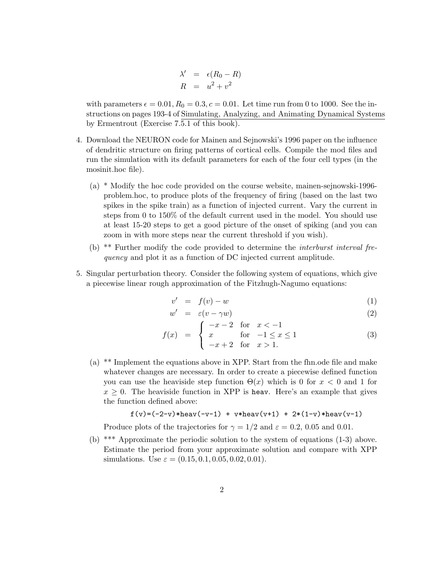$$
\lambda' = \epsilon (R_0 - R)
$$
  

$$
R = u^2 + v^2
$$

with parameters  $\epsilon = 0.01, R_0 = 0.3, c = 0.01$ . Let time run from 0 to 1000. See the instructions on pages 193-4 of Simulating, Analyzing, and Animating Dynamical Systems by Ermentrout (Exercise 7.5.1 of this book).

- 4. Download the NEURON code for Mainen and Sejnowski's 1996 paper on the influence of dendritic structure on firing patterns of cortical cells. Compile the mod files and run the simulation with its default parameters for each of the four cell types (in the mosinit.hoc file).
	- (a) \* Modify the hoc code provided on the course website, mainen-sejnowski-1996 problem.hoc, to produce plots of the frequency of firing (based on the last two spikes in the spike train) as a function of injected current. Vary the current in steps from 0 to 150% of the default current used in the model. You should use at least 15-20 steps to get a good picture of the onset of spiking (and you can zoom in with more steps near the current threshold if you wish).
	- (b) \*\* Further modify the code provided to determine the interburst interval frequency and plot it as a function of DC injected current amplitude.
- 5. Singular perturbation theory. Consider the following system of equations, which give a piecewise linear rough approximation of the Fitzhugh-Nagumo equations:

$$
v' = f(v) - w \tag{1}
$$

$$
w' = \varepsilon (v - \gamma w) \tag{2}
$$

$$
f(x) = \begin{cases} -x - 2 & \text{for } x < -1 \\ x & \text{for } -1 \le x \le 1 \\ -x + 2 & \text{for } x > 1. \end{cases}
$$
 (3)

(a) \*\* Implement the equations above in XPP. Start from the fhn.ode file and make whatever changes are necessary. In order to create a piecewise defined function you can use the heaviside step function  $\Theta(x)$  which is 0 for  $x < 0$  and 1 for  $x \geq 0$ . The heaviside function in XPP is heav. Here's an example that gives the function defined above:

$$
f(v)=(-2-v)*heavy(-v-1) + v*heavy(v+1) + 2*(1-v)*heavy(v-1)
$$

Produce plots of the trajectories for  $\gamma = 1/2$  and  $\varepsilon = 0.2, 0.05$  and 0.01.

(b) \*\*\* Approximate the periodic solution to the system of equations (1-3) above. Estimate the period from your approximate solution and compare with XPP simulations. Use  $\varepsilon = (0.15, 0.1, 0.05, 0.02, 0.01)$ .